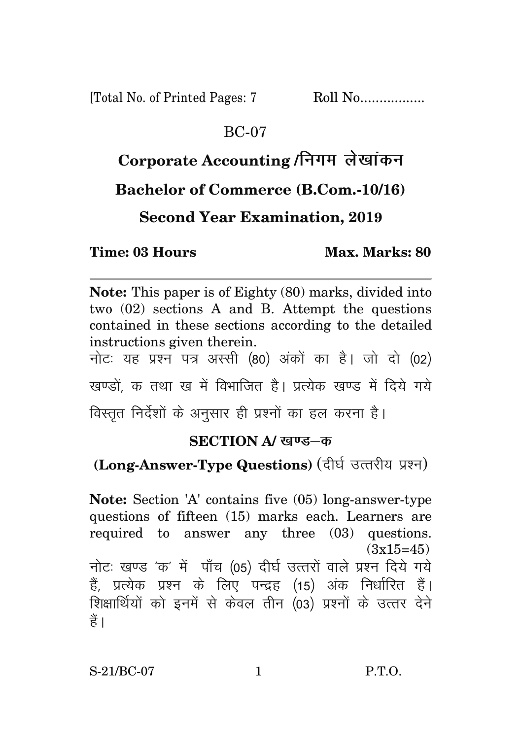[Total No. of Printed Pages: 7 Roll No.................

#### BC-07

## Corporate Accounting / निगम लेखांकन

#### **Bachelor of Commerce (B.Com.-10/16)**

**Second Year Examination, 2019**

**Time: 03 Hours Max. Marks: 80** 

**Note:** This paper is of Eighty (80) marks, divided into two (02) sections A and B. Attempt the questions contained in these sections according to the detailed instructions given therein.

नोट: यह प्रश्न पत्र अस्सी (80) अंकों का है। जो दो (02) खण्डों क तथा ख में विभाजित है। प्रत्येक खण्ड में दिये गये

विस्तृत निर्देशों के अनुसार ही प्रश्नों का हल करना है।

#### **SECTION A/ खण्ड–क**

### (Long-Answer-Type Questions) (दीर्घ उत्तरीय प्रश्न)

**Note:** Section 'A' contains five (05) long-answer-type questions of fifteen (15) marks each. Learners are required to answer any three (03) questions.  $(3x15=45)$ नोटः खण्ड 'क' में पाँच (05) दीर्घ उत्तरों वाले प्रश्न दिये गये हैं, प्रत्येक प्रश्न के लिए पन्द्रह (15) अंक निर्धारित हैं। शिक्षार्थियों को इनमें से केवल तीन (03) प्रश्नों के उत्तर देने हैं ।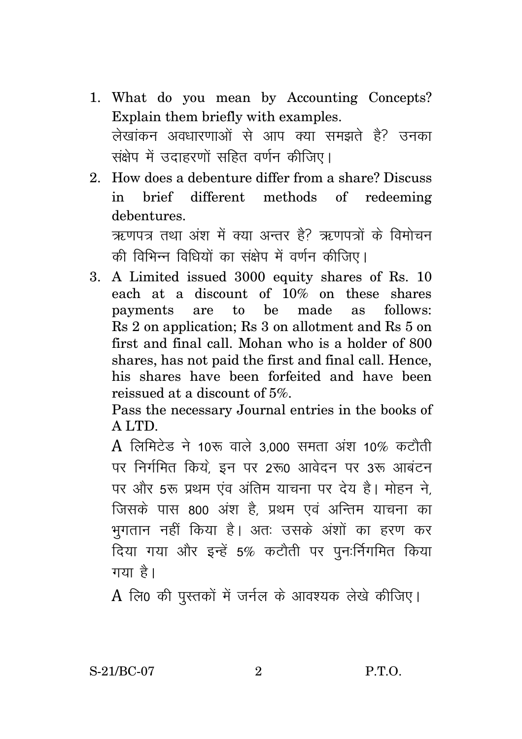- 1. What do you mean by Accounting Concepts? Explain them briefly with examples. लेखांकन अवधारणाओं से आप क्या समझते है? उनका संक्षेप में उदाहरणों सहित वर्णन कीजिए।
- 2. How does a debenture differ from a share? Discuss in brief different methods of redeeming debentures.

ऋणपत्र तथा अंश में क्या अन्तर है? ऋणपत्रों के विमोचन की विभिन्न विधियों का संक्षेप में वर्णन कीजिए।

3. A Limited issued 3000 equity shares of Rs. 10 each at a discount of 10% on these shares payments are to be made as follows: Rs 2 on application; Rs 3 on allotment and Rs 5 on first and final call. Mohan who is a holder of 800 shares, has not paid the first and final call. Hence, his shares have been forfeited and have been reissued at a discount of 5%.

Pass the necessary Journal entries in the books of A LTD.

 $\rm A$  लिमिटेड ने 10रू वाले 3.000 समता अंश 10% कटौती पर निर्गमित किये. इन पर 2रू0 आवेदन पर 3रू आबंटन पर और 5रू प्रथम एंव अंतिम याचना पर देय है। मोहन ने, जिसके पास 800 अंश है. प्रथम एवं अन्तिम याचना का भुगतान नहीं किया है। अतः उसके अंशों का हरण कर दिया गया और इन्हें 5% कटौती पर पुनःर्निगमित किया गया है।

 $A$  लि0 की पुस्तकों में जर्नल के आवश्यक लेखे कीजिए।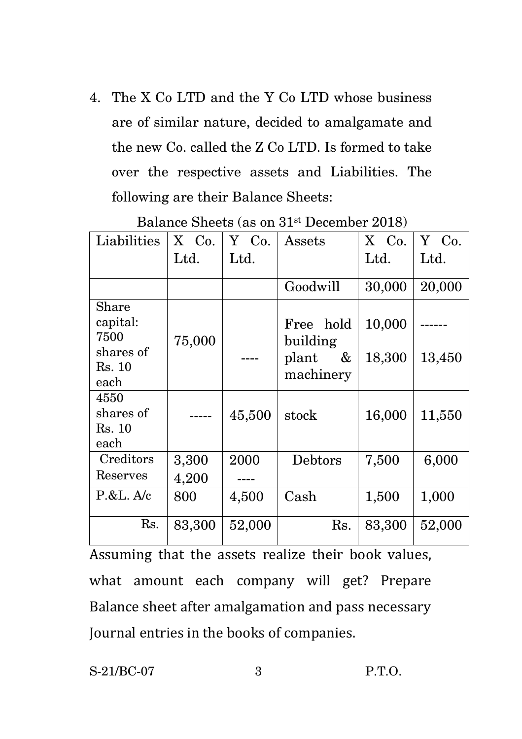4. The X Co LTD and the Y Co LTD whose business are of similar nature, decided to amalgamate and the new Co. called the Z Co LTD. Is formed to take over the respective assets and Liabilities. The following are their Balance Sheets:

| Liabilities                         | X Co.  | Y Co.  | $\operatorname{Assets}$             | X Co.  | Y Co.  |
|-------------------------------------|--------|--------|-------------------------------------|--------|--------|
|                                     | Ltd.   | Ltd.   |                                     | Ltd.   | Ltd.   |
|                                     |        |        |                                     |        |        |
|                                     |        |        | Goodwill                            | 30,000 | 20,000 |
| Share<br>capital:<br>7500           | 75,000 |        | Free hold                           | 10,000 |        |
| shares of<br>Rs. 10<br>each         |        |        | building<br>&<br>plant<br>machinery | 18,300 | 13,450 |
| 4550<br>shares of<br>Rs. 10<br>each |        | 45,500 | stock                               | 16,000 | 11,550 |
| Creditors                           | 3,300  | 2000   | Debtors                             | 7,500  | 6,000  |
| Reserves                            | 4,200  |        |                                     |        |        |
| P.E. A/c                            | 800    | 4,500  | Cash                                | 1,500  | 1,000  |
| Rs.                                 | 83,300 | 52,000 | Rs.                                 | 83,300 | 52,000 |

Balance Sheets (as on 31st December 2018)

Assuming that the assets realize their book values, what amount each company will get? Prepare Balance sheet after amalgamation and pass necessary Journal entries in the books of companies.

S-21/BC-07 3 P.T.O.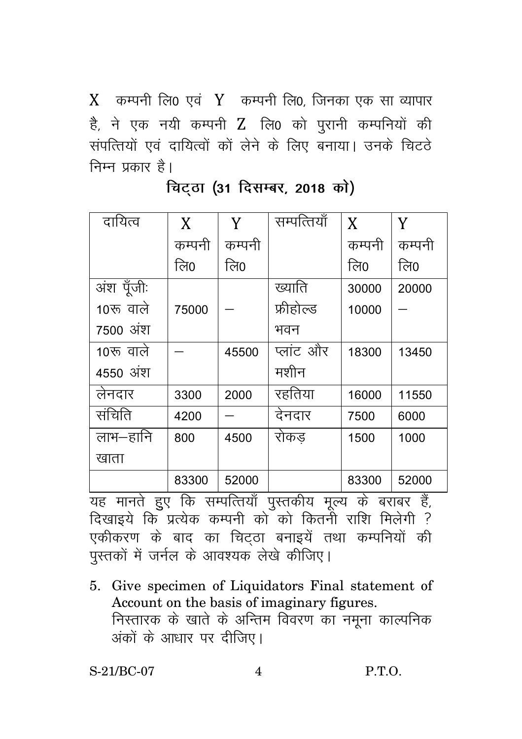$X$  कम्पनी लि0 एवं  $Y$  कम्पनी लि0, जिनका एक सा व्यापार है, ने एक नयी कम्पनी Z लि0 को परानी कम्पनियों की संपत्तियों एवं दायित्वों कों लेने के लिए बनाया। उनके चिटठे निम्न प्रकार है।

| दायित्व                                                        | $\mathbf{X}$ | Y      | सम्पत्तियाँ | X      | Y      |  |  |
|----------------------------------------------------------------|--------------|--------|-------------|--------|--------|--|--|
|                                                                | कम्पनी       | कम्पनी |             | कम्पनी | कम्पनी |  |  |
|                                                                | लि0          | लि0    |             | लि0    | लि0    |  |  |
| अंश पूँजीः                                                     |              |        | ख्याति      | 30000  | 20000  |  |  |
| 10रू वाले                                                      | 75000        |        | फ्रीहोल्ड   | 10000  |        |  |  |
| 7500 अंश                                                       |              |        | भवन         |        |        |  |  |
| 10रू वाले                                                      |              | 45500  | प्लांट और   | 18300  | 13450  |  |  |
| 4550 अंश                                                       |              |        | मशीन        |        |        |  |  |
| लेनदार                                                         | 3300         | 2000   | रहतिया      | 16000  | 11550  |  |  |
| संचिति                                                         | 4200         |        | देनदार      | 7500   | 6000   |  |  |
| लाभ–हानि                                                       | 800          | 4500   | रोकड        | 1500   | 1000   |  |  |
| खाता                                                           |              |        |             |        |        |  |  |
|                                                                | 83300        | 52000  |             | 83300  | 52000  |  |  |
| मानते हुए कि सम्पत्तियाँ पुस्तकीय मृल्य<br>के बराबर हैं,<br>यह |              |        |             |        |        |  |  |

**चिटठा (31 दिसम्बर, 2018 को)** 

दिखाइये कि प्रत्येक कम्पनी को को कितनी राशि मिलेगी ? एकीकरण के बाद का चिटठा बनाइयें तथा कम्पनियों की पुस्तकों में जर्नल के आवश्यक लेखे कीजिए।

5. Give specimen of Liquidators Final statement of Account on the basis of imaginary figures. निस्तारक के खाते के अन्तिम विवरण का नमूना काल्पनिक अंकों के आधार पर दीजिए।

S-21/BC-07 4 P.T.O.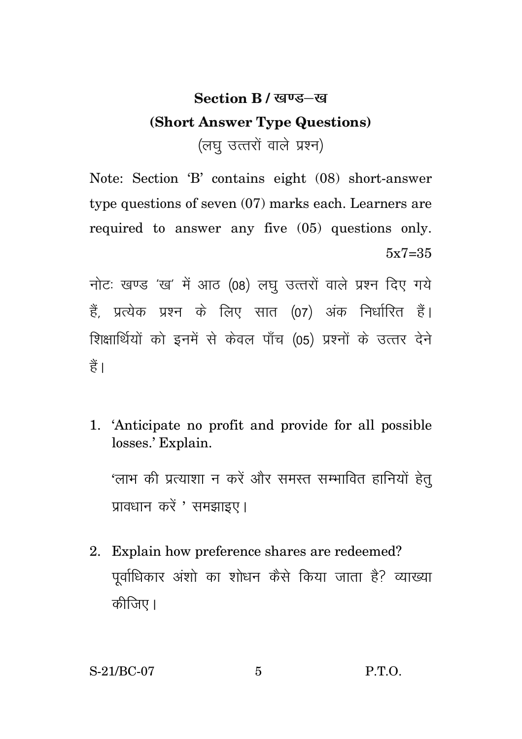# **Section B / खण्ड–ख (Short Answer Type Questions)**  (लघु उत्तरों वाले प्रश्न)

Note: Section 'B' contains eight (08) short-answer type questions of seven (07) marks each. Learners are required to answer any five (05) questions only. 5x7=35

नोटः खण्ड 'ख' में आठ (08) लघु उत्तरों वाले प्रश्न दिए गये हैं, प्रत्येक प्रश्न के लिए सात (07) अंक निर्धारित हैं। शिक्षार्थियों को इनमें से केवल पाँच (05) प्रश्नों के उत्तर देने  $\frac{4}{5}$ 

1. 'Anticipate no profit and provide for all possible losses.' Explain.

'लाभ की प्रत्याशा न करें और समस्त सम्भावित हानियों हेत् प्रावधान करें ' समझाइए।

2. Explain how preference shares are redeemed? पूर्वाधिकार अंशो का शोधन कैसे किया जाता है? व्याख्या कीजिए।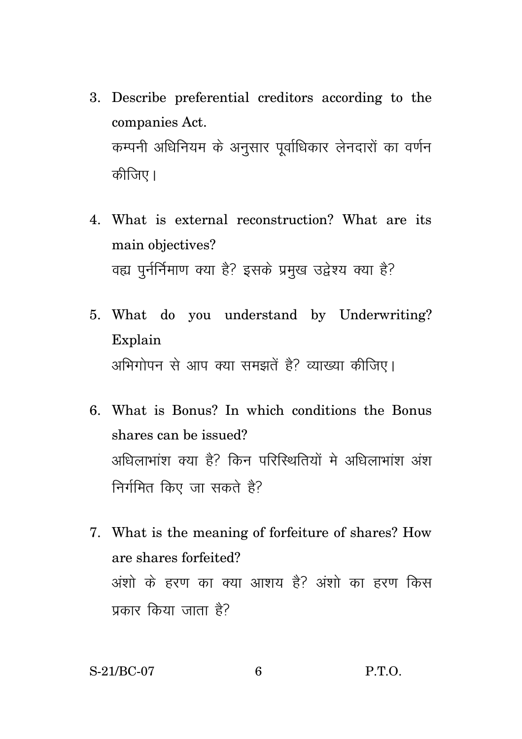- 3. Describe preferential creditors according to the companies Act. कम्पनी अधिनियम के अनुसार पूर्वाधिकार लेनदारों का वर्णन कीजिए।
- 4. What is external reconstruction? What are its main objectives? वह्य पुर्नर्निमाण क्या है? इसके प्रमुख उद्वेश्य क्या है?
- 5. What do you understand by Underwriting? Explain अभिगोपन से आप क्या समझतें है? व्याख्या कीजिए।
- 6. What is Bonus? In which conditions the Bonus shares can be issued? अधिलाभांश क्या है? किन परिस्थितियों में अधिलाभांश अंश निर्गमित किए जा सकते हैं?
- 7. What is the meaning of forfeiture of shares? How are shares forfeited? अंशो के हरण का क्या आशय है? अंशो का हरण किस प्रकार किया जाता है?